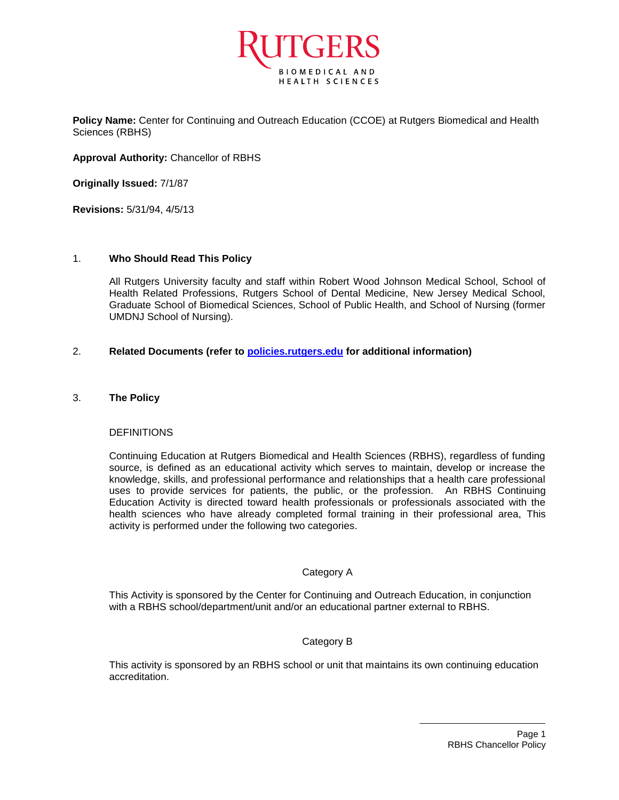

**Policy Name:** Center for Continuing and Outreach Education (CCOE) at Rutgers Biomedical and Health Sciences (RBHS)

**Approval Authority:** Chancellor of RBHS

**Originally Issued:** 7/1/87

**Revisions:** 5/31/94, 4/5/13

## 1. **Who Should Read This Policy**

All Rutgers University faculty and staff within Robert Wood Johnson Medical School, School of Health Related Professions, Rutgers School of Dental Medicine, New Jersey Medical School, Graduate School of Biomedical Sciences, School of Public Health, and School of Nursing (former UMDNJ School of Nursing).

## 2. **Related Documents (refer to<policies.rutgers.edu> for additional information)**

### 3. **The Policy**

#### **DEFINITIONS**

Continuing Education at Rutgers Biomedical and Health Sciences (RBHS), regardless of funding source, is defined as an educational activity which serves to maintain, develop or increase the knowledge, skills, and professional performance and relationships that a health care professional uses to provide services for patients, the public, or the profession. An RBHS Continuing Education Activity is directed toward health professionals or professionals associated with the health sciences who have already completed formal training in their professional area, This activity is performed under the following two categories.

#### Category A

This Activity is sponsored by the Center for Continuing and Outreach Education, in conjunction with a RBHS school/department/unit and/or an educational partner external to RBHS.

# Category B

This activity is sponsored by an RBHS school or unit that maintains its own continuing education accreditation.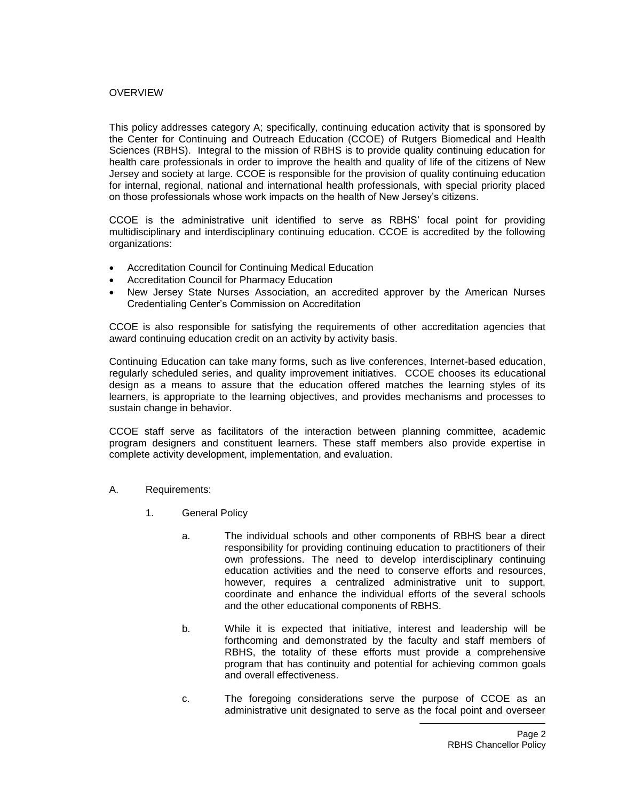## OVERVIEW

This policy addresses category A; specifically, continuing education activity that is sponsored by the Center for Continuing and Outreach Education (CCOE) of Rutgers Biomedical and Health Sciences (RBHS). Integral to the mission of RBHS is to provide quality continuing education for health care professionals in order to improve the health and quality of life of the citizens of New Jersey and society at large. CCOE is responsible for the provision of quality continuing education for internal, regional, national and international health professionals, with special priority placed on those professionals whose work impacts on the health of New Jersey's citizens.

CCOE is the administrative unit identified to serve as RBHS' focal point for providing multidisciplinary and interdisciplinary continuing education. CCOE is accredited by the following organizations:

- Accreditation Council for Continuing Medical Education
- Accreditation Council for Pharmacy Education
- New Jersey State Nurses Association, an accredited approver by the American Nurses Credentialing Center's Commission on Accreditation

CCOE is also responsible for satisfying the requirements of other accreditation agencies that award continuing education credit on an activity by activity basis.

Continuing Education can take many forms, such as live conferences, Internet-based education, regularly scheduled series, and quality improvement initiatives. CCOE chooses its educational design as a means to assure that the education offered matches the learning styles of its learners, is appropriate to the learning objectives, and provides mechanisms and processes to sustain change in behavior.

CCOE staff serve as facilitators of the interaction between planning committee, academic program designers and constituent learners. These staff members also provide expertise in complete activity development, implementation, and evaluation.

- A. Requirements:
	- 1. General Policy
		- a. The individual schools and other components of RBHS bear a direct responsibility for providing continuing education to practitioners of their own professions. The need to develop interdisciplinary continuing education activities and the need to conserve efforts and resources, however, requires a centralized administrative unit to support, coordinate and enhance the individual efforts of the several schools and the other educational components of RBHS.
		- b. While it is expected that initiative, interest and leadership will be forthcoming and demonstrated by the faculty and staff members of RBHS, the totality of these efforts must provide a comprehensive program that has continuity and potential for achieving common goals and overall effectiveness.
		- c. The foregoing considerations serve the purpose of CCOE as an administrative unit designated to serve as the focal point and overseer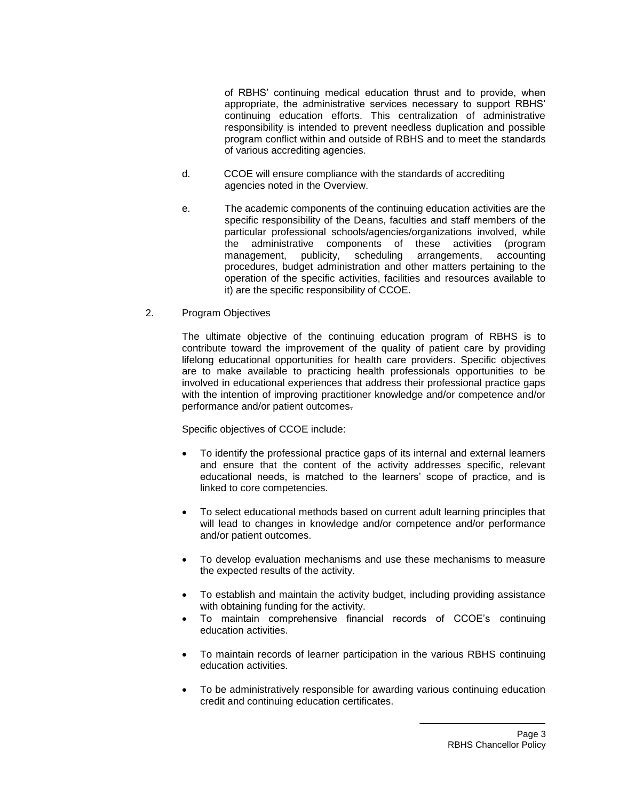of RBHS' continuing medical education thrust and to provide, when appropriate, the administrative services necessary to support RBHS' continuing education efforts. This centralization of administrative responsibility is intended to prevent needless duplication and possible program conflict within and outside of RBHS and to meet the standards of various accrediting agencies.

- d. CCOE will ensure compliance with the standards of accrediting agencies noted in the Overview.
- e. The academic components of the continuing education activities are the specific responsibility of the Deans, faculties and staff members of the particular professional schools/agencies/organizations involved, while the administrative components of these activities (program management, publicity, scheduling arrangements, accounting procedures, budget administration and other matters pertaining to the operation of the specific activities, facilities and resources available to it) are the specific responsibility of CCOE.
- 2. Program Objectives

The ultimate objective of the continuing education program of RBHS is to contribute toward the improvement of the quality of patient care by providing lifelong educational opportunities for health care providers. Specific objectives are to make available to practicing health professionals opportunities to be involved in educational experiences that address their professional practice gaps with the intention of improving practitioner knowledge and/or competence and/or performance and/or patient outcomes.

Specific objectives of CCOE include:

- To identify the professional practice gaps of its internal and external learners and ensure that the content of the activity addresses specific, relevant educational needs, is matched to the learners' scope of practice, and is linked to core competencies.
- To select educational methods based on current adult learning principles that will lead to changes in knowledge and/or competence and/or performance and/or patient outcomes.
- To develop evaluation mechanisms and use these mechanisms to measure the expected results of the activity.
- To establish and maintain the activity budget, including providing assistance with obtaining funding for the activity.
- To maintain comprehensive financial records of CCOE's continuing education activities.
- To maintain records of learner participation in the various RBHS continuing education activities.
- To be administratively responsible for awarding various continuing education credit and continuing education certificates.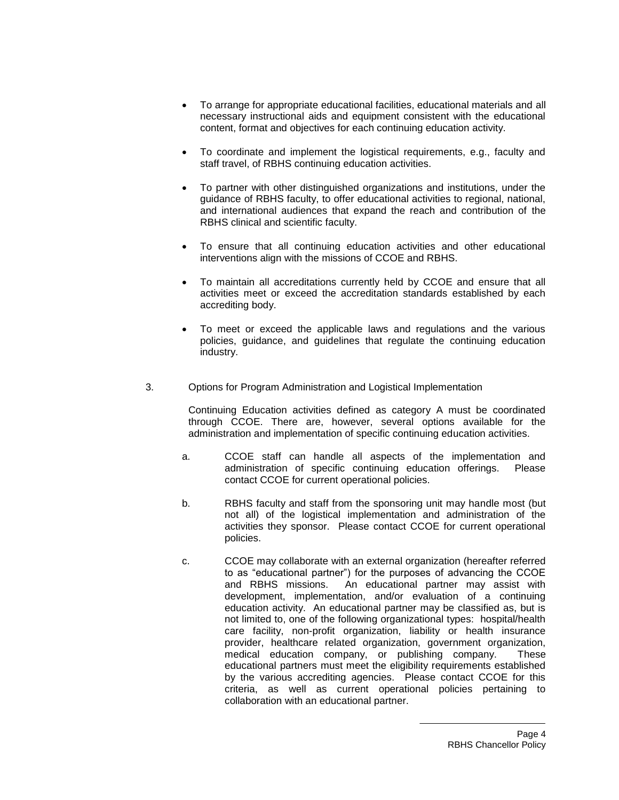- To arrange for appropriate educational facilities, educational materials and all necessary instructional aids and equipment consistent with the educational content, format and objectives for each continuing education activity.
- To coordinate and implement the logistical requirements, e.g., faculty and staff travel, of RBHS continuing education activities.
- To partner with other distinguished organizations and institutions, under the guidance of RBHS faculty, to offer educational activities to regional, national, and international audiences that expand the reach and contribution of the RBHS clinical and scientific faculty.
- To ensure that all continuing education activities and other educational interventions align with the missions of CCOE and RBHS.
- To maintain all accreditations currently held by CCOE and ensure that all activities meet or exceed the accreditation standards established by each accrediting body.
- To meet or exceed the applicable laws and regulations and the various policies, guidance, and guidelines that regulate the continuing education industry.
- 3. Options for Program Administration and Logistical Implementation

Continuing Education activities defined as category A must be coordinated through CCOE. There are, however, several options available for the administration and implementation of specific continuing education activities.

- a. CCOE staff can handle all aspects of the implementation and administration of specific continuing education offerings. Please contact CCOE for current operational policies.
- b. RBHS faculty and staff from the sponsoring unit may handle most (but not all) of the logistical implementation and administration of the activities they sponsor. Please contact CCOE for current operational policies.
- c. CCOE may collaborate with an external organization (hereafter referred to as "educational partner") for the purposes of advancing the CCOE and RBHS missions. An educational partner may assist with development, implementation, and/or evaluation of a continuing education activity. An educational partner may be classified as, but is not limited to, one of the following organizational types: hospital/health care facility, non-profit organization, liability or health insurance provider, healthcare related organization, government organization, medical education company, or publishing company. These educational partners must meet the eligibility requirements established by the various accrediting agencies. Please contact CCOE for this criteria, as well as current operational policies pertaining to collaboration with an educational partner.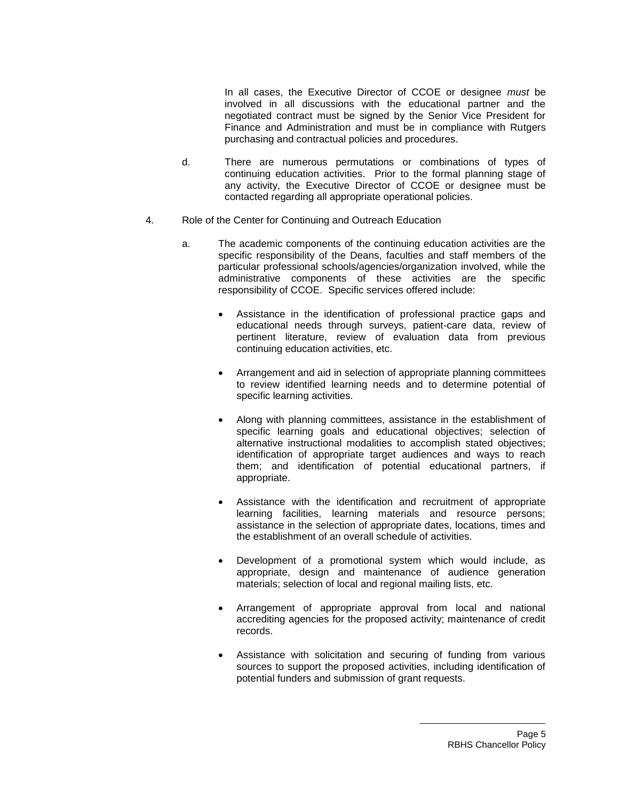In all cases, the Executive Director of CCOE or designee *must* be involved in all discussions with the educational partner and the negotiated contract must be signed by the Senior Vice President for Finance and Administration and must be in compliance with Rutgers purchasing and contractual policies and procedures.

- d. There are numerous permutations or combinations of types of continuing education activities. Prior to the formal planning stage of any activity, the Executive Director of CCOE or designee must be contacted regarding all appropriate operational policies.
- 4. Role of the Center for Continuing and Outreach Education
	- a. The academic components of the continuing education activities are the specific responsibility of the Deans, faculties and staff members of the particular professional schools/agencies/organization involved, while the administrative components of these activities are the specific responsibility of CCOE. Specific services offered include:
		- Assistance in the identification of professional practice gaps and educational needs through surveys, patient-care data, review of pertinent literature, review of evaluation data from previous continuing education activities, etc.
		- Arrangement and aid in selection of appropriate planning committees to review identified learning needs and to determine potential of specific learning activities.
		- Along with planning committees, assistance in the establishment of specific learning goals and educational objectives; selection of alternative instructional modalities to accomplish stated objectives; identification of appropriate target audiences and ways to reach them; and identification of potential educational partners, if appropriate.
		- Assistance with the identification and recruitment of appropriate learning facilities, learning materials and resource persons; assistance in the selection of appropriate dates, locations, times and the establishment of an overall schedule of activities.
		- Development of a promotional system which would include, as appropriate, design and maintenance of audience generation materials; selection of local and regional mailing lists, etc.
		- Arrangement of appropriate approval from local and national accrediting agencies for the proposed activity; maintenance of credit records.
		- Assistance with solicitation and securing of funding from various sources to support the proposed activities, including identification of potential funders and submission of grant requests.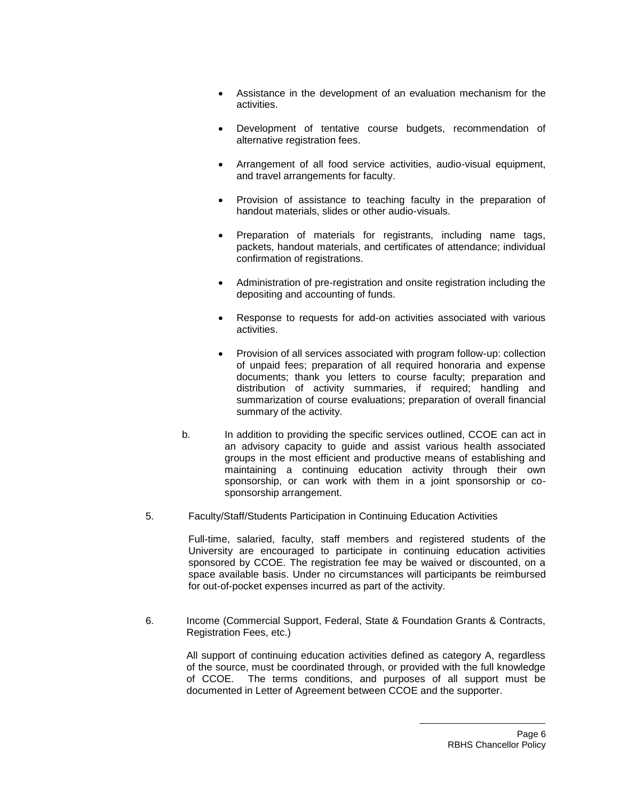- Assistance in the development of an evaluation mechanism for the activities.
- Development of tentative course budgets, recommendation of alternative registration fees.
- Arrangement of all food service activities, audio-visual equipment, and travel arrangements for faculty.
- Provision of assistance to teaching faculty in the preparation of handout materials, slides or other audio-visuals.
- Preparation of materials for registrants, including name tags, packets, handout materials, and certificates of attendance; individual confirmation of registrations.
- Administration of pre-registration and onsite registration including the depositing and accounting of funds.
- Response to requests for add-on activities associated with various activities.
- Provision of all services associated with program follow-up: collection of unpaid fees; preparation of all required honoraria and expense documents; thank you letters to course faculty; preparation and distribution of activity summaries, if required; handling and summarization of course evaluations; preparation of overall financial summary of the activity.
- b. In addition to providing the specific services outlined, CCOE can act in an advisory capacity to guide and assist various health associated groups in the most efficient and productive means of establishing and maintaining a continuing education activity through their own sponsorship, or can work with them in a joint sponsorship or cosponsorship arrangement.
- 5. Faculty/Staff/Students Participation in Continuing Education Activities

Full-time, salaried, faculty, staff members and registered students of the University are encouraged to participate in continuing education activities sponsored by CCOE. The registration fee may be waived or discounted, on a space available basis. Under no circumstances will participants be reimbursed for out-of-pocket expenses incurred as part of the activity.

6. Income (Commercial Support, Federal, State & Foundation Grants & Contracts, Registration Fees, etc.)

> All support of continuing education activities defined as category A, regardless of the source, must be coordinated through, or provided with the full knowledge of CCOE. The terms conditions, and purposes of all support must be documented in Letter of Agreement between CCOE and the supporter.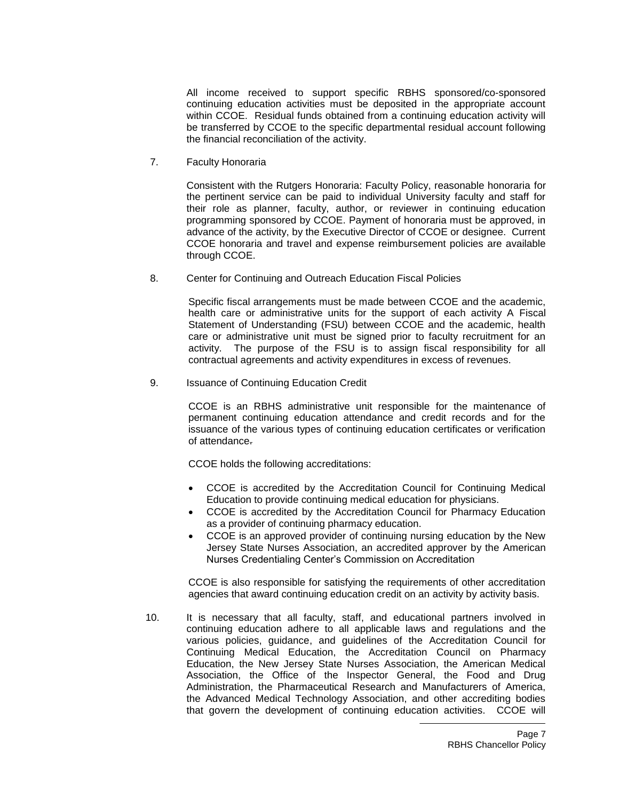All income received to support specific RBHS sponsored/co-sponsored continuing education activities must be deposited in the appropriate account within CCOE. Residual funds obtained from a continuing education activity will be transferred by CCOE to the specific departmental residual account following the financial reconciliation of the activity.

7. Faculty Honoraria

Consistent with the Rutgers Honoraria: Faculty Policy, reasonable honoraria for the pertinent service can be paid to individual University faculty and staff for their role as planner, faculty, author, or reviewer in continuing education programming sponsored by CCOE. Payment of honoraria must be approved, in advance of the activity, by the Executive Director of CCOE or designee. Current CCOE honoraria and travel and expense reimbursement policies are available through CCOE.

8. Center for Continuing and Outreach Education Fiscal Policies

Specific fiscal arrangements must be made between CCOE and the academic, health care or administrative units for the support of each activity A Fiscal Statement of Understanding (FSU) between CCOE and the academic, health care or administrative unit must be signed prior to faculty recruitment for an activity. The purpose of the FSU is to assign fiscal responsibility for all contractual agreements and activity expenditures in excess of revenues.

9. Issuance of Continuing Education Credit

CCOE is an RBHS administrative unit responsible for the maintenance of permanent continuing education attendance and credit records and for the issuance of the various types of continuing education certificates or verification of attendance.

CCOE holds the following accreditations:

- CCOE is accredited by the Accreditation Council for Continuing Medical Education to provide continuing medical education for physicians.
- CCOE is accredited by the Accreditation Council for Pharmacy Education as a provider of continuing pharmacy education.
- CCOE is an approved provider of continuing nursing education by the New Jersey State Nurses Association, an accredited approver by the American Nurses Credentialing Center's Commission on Accreditation

CCOE is also responsible for satisfying the requirements of other accreditation agencies that award continuing education credit on an activity by activity basis.

10. It is necessary that all faculty, staff, and educational partners involved in continuing education adhere to all applicable laws and regulations and the various policies, guidance, and guidelines of the Accreditation Council for Continuing Medical Education, the Accreditation Council on Pharmacy Education, the New Jersey State Nurses Association, the American Medical Association, the Office of the Inspector General, the Food and Drug Administration, the Pharmaceutical Research and Manufacturers of America, the Advanced Medical Technology Association, and other accrediting bodies that govern the development of continuing education activities. CCOE will